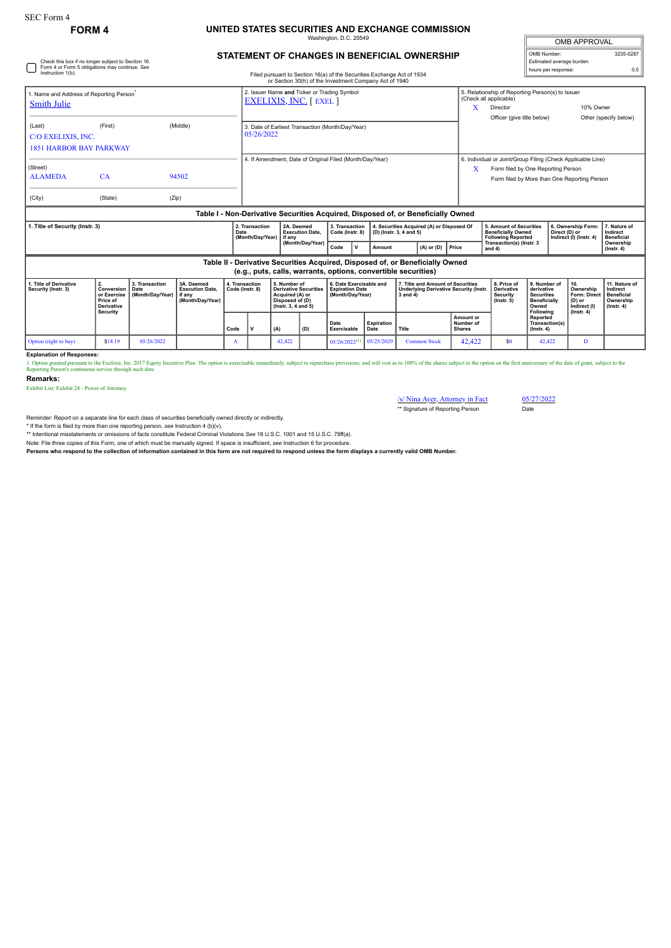Check this box if no longer subject to Section 16. Form 4 or Form 5 obligations may continue. *See*

## **FORM 4 UNITED STATES SECURITIES AND EXCHANGE COMMISSION** ington, D.C. 2

| <b>OMB APPROVAL</b>      |           |
|--------------------------|-----------|
| OMB Number:              | 3235-0287 |
| Estimated average burden |           |
| hours per response:      | ሰ 5       |

## **STATEMENT OF CHANGES IN BENEFICIAL OWNERSHIP**

| Instruction 1(b).<br>Filed pursuant to Section 16(a) of the Securities Exchange Act of 1934<br>or Section 30(h) of the Investment Company Act of 1940                           |                                                                                                                                                 |       |          |                                   |                                                                               |                                                                                   |             |                                                                      |                                                                                                                                           |                |       |                                                                                                                                                        |                         | <b>HOULD DOI TOUDOITOU</b>                    |                                                                |                                               |  |
|---------------------------------------------------------------------------------------------------------------------------------------------------------------------------------|-------------------------------------------------------------------------------------------------------------------------------------------------|-------|----------|-----------------------------------|-------------------------------------------------------------------------------|-----------------------------------------------------------------------------------|-------------|----------------------------------------------------------------------|-------------------------------------------------------------------------------------------------------------------------------------------|----------------|-------|--------------------------------------------------------------------------------------------------------------------------------------------------------|-------------------------|-----------------------------------------------|----------------------------------------------------------------|-----------------------------------------------|--|
| . Name and Address of Reporting Person <sup>*</sup><br>Smith Julie                                                                                                              |                                                                                                                                                 |       |          |                                   | 2. Issuer Name and Ticker or Trading Symbol<br><b>EXELIXIS, INC.</b> [ EXEL ] |                                                                                   |             |                                                                      |                                                                                                                                           |                |       | 5. Relationship of Reporting Person(s) to Issuer<br>(Check all applicable)<br>Director<br>Officer (give title below)                                   |                         |                                               |                                                                | 10% Owner<br>Other (specify below)            |  |
| (Last)<br>C/O EXELIXIS, INC.<br><b>1851 HARBOR BAY PARKWAY</b>                                                                                                                  | (First)                                                                                                                                         |       | (Middle) |                                   | 3. Date of Earliest Transaction (Month/Dav/Year)<br>05/26/2022                |                                                                                   |             |                                                                      |                                                                                                                                           |                |       |                                                                                                                                                        |                         |                                               |                                                                |                                               |  |
| (Street)<br><b>ALAMEDA</b>                                                                                                                                                      | <b>CA</b>                                                                                                                                       |       | 94502    |                                   | 4. If Amendment, Date of Original Filed (Month/Day/Year)                      |                                                                                   |             |                                                                      |                                                                                                                                           |                |       | 6. Individual or Joint/Group Filing (Check Applicable Line)<br>Х<br>Form filed by One Reporting Person<br>Form filed by More than One Reporting Person |                         |                                               |                                                                |                                               |  |
| (City)                                                                                                                                                                          | (State)                                                                                                                                         | (Zip) |          |                                   |                                                                               |                                                                                   |             |                                                                      |                                                                                                                                           |                |       |                                                                                                                                                        |                         |                                               |                                                                |                                               |  |
|                                                                                                                                                                                 | Table I - Non-Derivative Securities Acquired, Disposed of, or Beneficially Owned                                                                |       |          |                                   |                                                                               |                                                                                   |             |                                                                      |                                                                                                                                           |                |       |                                                                                                                                                        |                         |                                               |                                                                |                                               |  |
| 2. Transaction<br>. Title of Security (Instr. 3)<br>Date<br>(Month/Day/Year)                                                                                                    |                                                                                                                                                 |       |          |                                   | 2A. Deemed<br><b>Execution Date,</b><br>l if anv                              | 3. Transaction<br>Code (Instr. 8)                                                 |             | 4. Securities Acquired (A) or Disposed Of<br>(D) (Instr. 3, 4 and 5) |                                                                                                                                           |                |       | <b>Beneficially Owned</b><br><b>Following Reported</b>                                                                                                 | 5. Amount of Securities |                                               | 6. Ownership Form:<br>Direct (D) or<br>Indirect (I) (Instr. 4) | 7. Nature of<br>Indirect<br><b>Beneficial</b> |  |
|                                                                                                                                                                                 |                                                                                                                                                 |       |          |                                   | (Month/Day/Year)                                                              | Code                                                                              | $\mathbf v$ | Amount                                                               |                                                                                                                                           | $(A)$ or $(D)$ | Price | Transaction(s) (Instr. 3<br>and $4)$                                                                                                                   |                         |                                               |                                                                | Ownership<br>$($ lnstr. 4 $)$                 |  |
|                                                                                                                                                                                 | Table II - Derivative Securities Acquired, Disposed of, or Beneficially Owned<br>(e.g., puts, calls, warrants, options, convertible securities) |       |          |                                   |                                                                               |                                                                                   |             |                                                                      |                                                                                                                                           |                |       |                                                                                                                                                        |                         |                                               |                                                                |                                               |  |
| 1. Title of Derivative<br>2.<br>3. Transaction<br>3A. Deemed<br><b>Execution Date.</b><br>Security (Instr. 3)<br>Conversion<br>Date<br>(Month/Day/Year)   if any<br>or Exercise |                                                                                                                                                 |       |          | 4. Transaction<br>Code (Instr. 8) | 5. Number of<br><b>Derivative Securities</b><br>Acquired (A) or               | 6. Date Exercisable and<br><b>Expiration Date</b><br>(Month/Dav/Year)<br>3 and 4) |             |                                                                      | 8. Price of<br>7. Title and Amount of Securities<br><b>Derivative</b><br><b>Underlying Derivative Security (Instr.</b><br><b>Security</b> |                |       | 9. Number of<br>derivative<br><b>Securities</b>                                                                                                        |                         | 10.<br>Ownership<br>Form: Direct   Beneficial | 11. Nature of<br>Indirect                                      |                                               |  |

|                       | O Exercise I (MORRIDAV/Tear) I II any<br>Price of<br><b>Derivative</b><br>Security |            | (Month/Dav/Year) |              |  | I ACUUIFEU (A) OF<br>Disposed of (D)<br>$($ lnstr. 3. 4 and 5 $)$ |     | i (MONUMDAV/Tear)           |                    | i əarıcı 4   |                                         | security<br>$($ lnstr $, 5)$ | ∣ Securiues<br><b>Beneficially</b><br>Owned<br>Following | FONII: DIRECL I DENENCIAI<br>(D) or<br>Indirect (I)<br>$($ lnstr. 4 $)$ | Ownership<br>  (Instr. 4) |
|-----------------------|------------------------------------------------------------------------------------|------------|------------------|--------------|--|-------------------------------------------------------------------|-----|-----------------------------|--------------------|--------------|-----------------------------------------|------------------------------|----------------------------------------------------------|-------------------------------------------------------------------------|---------------------------|
|                       |                                                                                    |            |                  | Code         |  | (A)                                                               | (D) | Date<br>Exercisable         | Expiration<br>Date | Title        | Amount or<br>Number of<br><b>Shares</b> |                              | Reported<br>Transaction(s)<br>$($ lnstr, 4 $)$           |                                                                         |                           |
| Option (right to buy) | \$18.19                                                                            | 05/26/2022 |                  | $\mathbf{r}$ |  | 42.422                                                            |     | $05/26/2022$ <sup>(1)</sup> | 0.5/25/2029        | Common Stock | 42,422                                  | \$0                          | 42.422                                                   |                                                                         |                           |

**Explanation of Responses:**

1. Option granted pursuant to the Exclixis, Inc. 2017 Equity Incentive Plan. The option is exercisable immediately, subject to repurchase provisions, and will vest as to 100% of the shares subject to the option on the firs

**Remarks:**

Exhibit List: Exhibit 24 - Power of Attorney

/s/ Nina Ayer, Attorney in Fact 05/27/2022 \*\* Signature of Reporting Person Date

Reminder: Report on a separate line for each class of securities beneficially owned directly or indirectly.

\* If the form is filed by more than one reporting person, *see* Instruction 4 (b)(v). \*\* Intentional misstatements or omissions of facts constitute Federal Criminal Violations *See* 18 U.S.C. 1001 and 15 U.S.C. 78ff(a).

Note: File three copies of this Form, one of which must be manually signed. If space is insufficient, *see* Instruction 6 for procedure.

**Persons who respond to the collection of information contained in this form are not required to respond unless the form displays a currently valid OMB Number.**